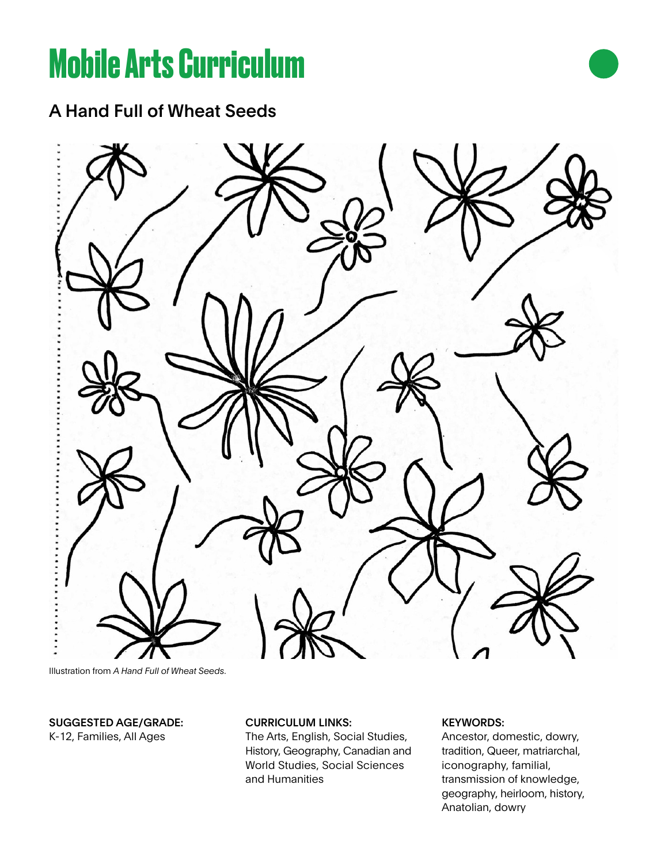# **Mobile Arts Curriculum**

A Hand Full of Wheat Seeds



Illustration from *A Hand Full of Wheat Seeds*.

# SUGGESTED AGE/GRADE: K-12, Families, All Ages

# CURRICULUM LINKS:

The Arts, English, Social Studies, History, Geography, Canadian and World Studies, Social Sciences and Humanities

# KEYWORDS:

Ancestor, domestic, dowry, tradition, Queer, matriarchal, iconography, familial, transmission of knowledge, geography, heirloom, history, Anatolian, dowry